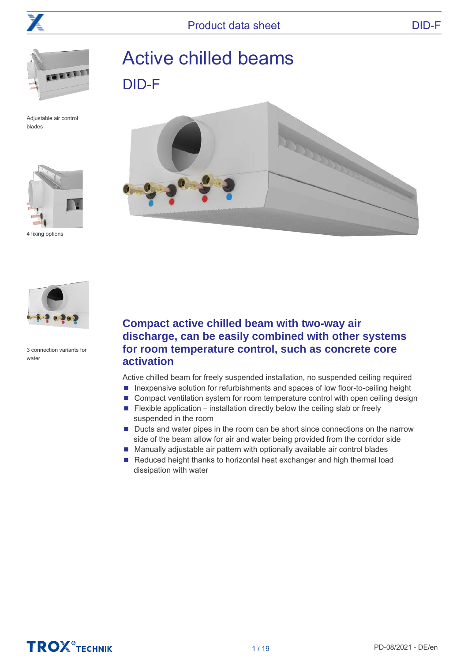

Adjustable air control blades



4 fixing options



3 connection variants for water

# Active chilled beams DID-F



### **Compact active chilled beam with two-way air discharge, can be easily combined with other systems for room temperature control, such as concrete core activation**

Active chilled beam for freely suspended installation, no suspended ceiling required

- Inexpensive solution for refurbishments and spaces of low floor-to-ceiling height
- Compact ventilation system for room temperature control with open ceiling design
- $\blacksquare$  Flexible application installation directly below the ceiling slab or freely suspended in the room
- Ducts and water pipes in the room can be short since connections on the narrow side of the beam allow for air and water being provided from the corridor side
- Manually adjustable air pattern with optionally available air control blades
- Reduced height thanks to horizontal heat exchanger and high thermal load dissipation with water

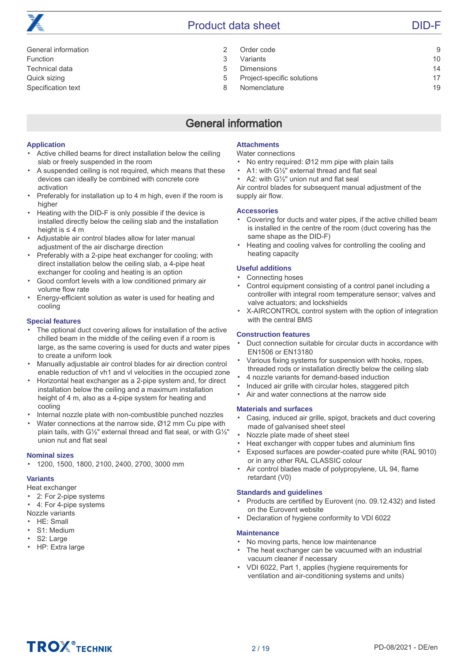- [General information 2](#page-1-0) [Function 3](#page-2-0) [Order code 9](#page-8-0) [Variants 10](#page-9-0)
	- [Dimensions 14](#page-13-0)
- [Quick sizing 5](#page-4-1) [Specification text 8](#page-7-0) [Project-specific solutions 17](#page-16-0)
	- [Nomenclature 19](#page-18-0)

### General information

### <span id="page-1-0"></span>**Application**

▪ Active chilled beams for direct installation below the ceiling slab or freely suspended in the room

[Technical data 5](#page-4-0)

- A suspended ceiling is not required, which means that these devices can ideally be combined with concrete core activation
- Preferably for installation up to 4 m high, even if the room is higher
- Heating with the DID-F is only possible if the device is installed directly below the ceiling slab and the installation height is  $\leq 4$  m
- Adjustable air control blades allow for later manual adjustment of the air discharge direction
- Preferably with a 2-pipe heat exchanger for cooling; with direct installation below the ceiling slab, a 4-pipe heat exchanger for cooling and heating is an option
- Good comfort levels with a low conditioned primary air volume flow rate
- Energy-efficient solution as water is used for heating and cooling

### **Special features**

- The optional duct covering allows for installation of the active chilled beam in the middle of the ceiling even if a room is large, as the same covering is used for ducts and water pipes to create a uniform look
- Manually adjustable air control blades for air direction control enable reduction of vh1 and vl velocities in the occupied zone
- Horizontal heat exchanger as a 2-pipe system and, for direct installation below the ceiling and a maximum installation height of 4 m, also as a 4-pipe system for heating and cooling
- Internal nozzle plate with non-combustible punched nozzles
- Water connections at the narrow side, Ø12 mm Cu pipe with plain tails, with G½" external thread and flat seal, or with G½" union nut and flat seal

### **Nominal sizes**

▪ 1200, 1500, 1800, 2100, 2400, 2700, 3000 mm

### **Variants**

- Heat exchanger
- 2: For 2-pipe systems
- 4: For 4-pipe systems
- Nozzle variants HE: Small
- S1: Medium
- S<sub>2</sub>: Large
- HP: Extra large

### **Attachments**

Water connections

- No entry required: Ø12 mm pipe with plain tails
- A1: with G½" external thread and flat seal
- A2: with G½" union nut and flat seal

Air control blades for subsequent manual adjustment of the supply air flow.

### **Accessories**

- Covering for ducts and water pipes, if the active chilled beam is installed in the centre of the room (duct covering has the same shape as the DID-F)
- Heating and cooling valves for controlling the cooling and heating capacity

### **Useful additions**

- Connecting hoses
- Control equipment consisting of a control panel including a controller with integral room temperature sensor; valves and valve actuators; and lockshields
- X-AIRCONTROL control system with the option of integration with the central BMS

### **Construction features**

- Duct connection suitable for circular ducts in accordance with EN1506 or EN13180
- Various fixing systems for suspension with hooks, ropes, threaded rods or installation directly below the ceiling slab
- 4 nozzle variants for demand-based induction
- Induced air grille with circular holes, staggered pitch
- Air and water connections at the narrow side

### **Materials and surfaces**

- Casing, induced air grille, spigot, brackets and duct covering made of galvanised sheet steel
- Nozzle plate made of sheet steel
- Heat exchanger with copper tubes and aluminium fins
- Exposed surfaces are powder-coated pure white (RAL 9010) or in any other RAL CLASSIC colour
- Air control blades made of polypropylene, UL 94, flame retardant (V0)

### **Standards and guidelines**

- Products are certified by Eurovent (no. 09.12.432) and listed on the Eurovent website
- Declaration of hygiene conformity to VDI 6022

#### **Maintenance**

- No moving parts, hence low maintenance
- The heat exchanger can be vacuumed with an industrial vacuum cleaner if necessary
- VDI 6022, Part 1, applies (hygiene requirements for ventilation and air-conditioning systems and units)

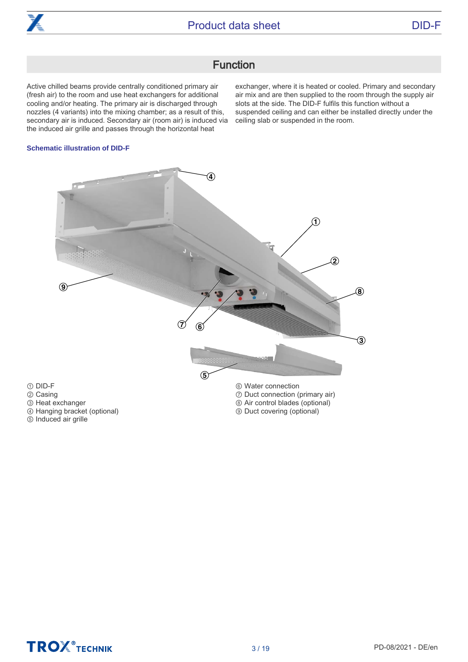

### Function

<span id="page-2-0"></span>Active chilled beams provide centrally conditioned primary air (fresh air) to the room and use heat exchangers for additional cooling and/or heating. The primary air is discharged through nozzles (4 variants) into the mixing chamber; as a result of this, secondary air is induced. Secondary air (room air) is induced via the induced air grille and passes through the horizontal heat

exchanger, where it is heated or cooled. Primary and secondary air mix and are then supplied to the room through the supply air slots at the side. The DID-F fulfils this function without a suspended ceiling and can either be installed directly under the ceiling slab or suspended in the room.

### **Schematic illustration of DID-F**



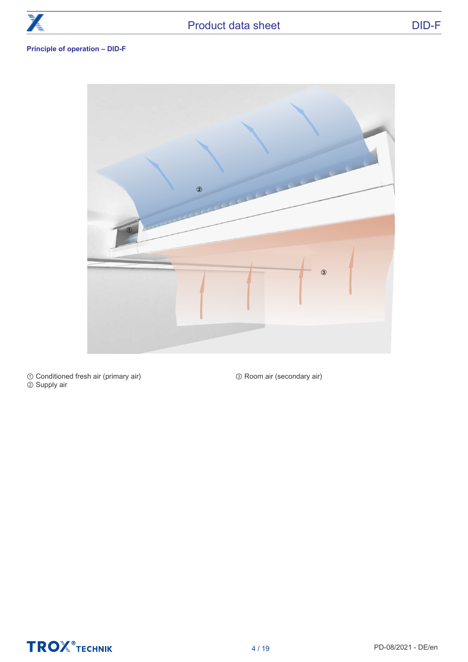





① Conditioned fresh air (primary air) ② Supply air

③ Room air (secondary air)

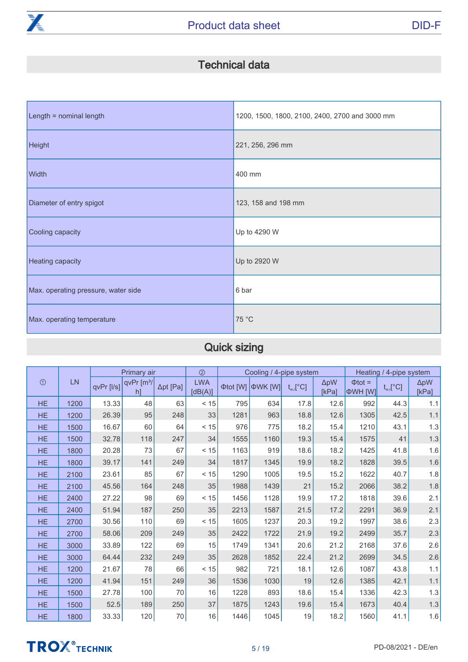

### Technical data

<span id="page-4-0"></span>

| Length = nominal length             | 1200, 1500, 1800, 2100, 2400, 2700 and 3000 mm |
|-------------------------------------|------------------------------------------------|
| Height                              | 221, 256, 296 mm                               |
| <b>Width</b>                        | 400 mm                                         |
| Diameter of entry spigot            | 123, 158 and 198 mm                            |
| Cooling capacity                    | Up to 4290 W                                   |
| Heating capacity                    | Up to 2920 W                                   |
| Max. operating pressure, water side | 6 bar                                          |
| Max. operating temperature          | 75 °C                                          |

## Quick sizing

<span id="page-4-1"></span>

|           |      |            | Primary air          |                  | $\circledcirc$        |          | Cooling / 4-pipe system |                      |                      |                                | Heating / 4-pipe system |              |
|-----------|------|------------|----------------------|------------------|-----------------------|----------|-------------------------|----------------------|----------------------|--------------------------------|-------------------------|--------------|
| $\odot$   | LN   | qvPr [I/s] | $qvPr[m^3]$<br>$h$ ] | $\Delta pt$ [Pa] | <b>LWA</b><br>[dB(A)] | Φtot [W] | ΦWK [W]                 | $t_{w,r}[^{\circ}C]$ | $\Delta$ pW<br>[kPa] | $\Phi$ tot =<br><b>OWH [W]</b> | $t_{w,r}[^{\circ}C]$    | ΔpW<br>[kPa] |
| <b>HE</b> | 1200 | 13.33      | 48                   | 63               | < 15                  | 795      | 634                     | 17.8                 | 12.6                 | 992                            | 44.3                    | 1.1          |
| <b>HE</b> | 1200 | 26.39      | 95                   | 248              | 33                    | 1281     | 963                     | 18.8                 | 12.6                 | 1305                           | 42.5                    | 1.1          |
| <b>HE</b> | 1500 | 16.67      | 60                   | 64               | < 15                  | 976      | 775                     | 18.2                 | 15.4                 | 1210                           | 43.1                    | 1.3          |
| <b>HE</b> | 1500 | 32.78      | 118                  | 247              | 34                    | 1555     | 1160                    | 19.3                 | 15.4                 | 1575                           | 41                      | 1.3          |
| <b>HE</b> | 1800 | 20.28      | 73                   | 67               | < 15                  | 1163     | 919                     | 18.6                 | 18.2                 | 1425                           | 41.8                    | 1.6          |
| <b>HE</b> | 1800 | 39.17      | 141                  | 249              | 34                    | 1817     | 1345                    | 19.9                 | 18.2                 | 1828                           | 39.5                    | 1.6          |
| <b>HE</b> | 2100 | 23.61      | 85                   | 67               | < 15                  | 1290     | 1005                    | 19.5                 | 15.2                 | 1622                           | 40.7                    | 1.8          |
| <b>HE</b> | 2100 | 45.56      | 164                  | 248              | 35                    | 1988     | 1439                    | 21                   | 15.2                 | 2066                           | 38.2                    | 1.8          |
| <b>HE</b> | 2400 | 27.22      | 98                   | 69               | < 15                  | 1456     | 1128                    | 19.9                 | 17.2                 | 1818                           | 39.6                    | 2.1          |
| <b>HE</b> | 2400 | 51.94      | 187                  | 250              | 35                    | 2213     | 1587                    | 21.5                 | 17.2                 | 2291                           | 36.9                    | 2.1          |
| <b>HE</b> | 2700 | 30.56      | 110                  | 69               | < 15                  | 1605     | 1237                    | 20.3                 | 19.2                 | 1997                           | 38.6                    | 2.3          |
| <b>HE</b> | 2700 | 58.06      | 209                  | 249              | 35                    | 2422     | 1722                    | 21.9                 | 19.2                 | 2499                           | 35.7                    | 2.3          |
| <b>HE</b> | 3000 | 33.89      | 122                  | 69               | 15                    | 1749     | 1341                    | 20.6                 | 21.2                 | 2168                           | 37.6                    | 2.6          |
| <b>HE</b> | 3000 | 64.44      | 232                  | 249              | 35                    | 2628     | 1852                    | 22.4                 | 21.2                 | 2699                           | 34.5                    | 2.6          |
| <b>HE</b> | 1200 | 21.67      | 78                   | 66               | < 15                  | 982      | 721                     | 18.1                 | 12.6                 | 1087                           | 43.8                    | 1.1          |
| <b>HE</b> | 1200 | 41.94      | 151                  | 249              | 36                    | 1536     | 1030                    | 19                   | 12.6                 | 1385                           | 42.1                    | 1.1          |
| <b>HE</b> | 1500 | 27.78      | 100                  | 70               | 16                    | 1228     | 893                     | 18.6                 | 15.4                 | 1336                           | 42.3                    | 1.3          |
| <b>HE</b> | 1500 | 52.5       | 189                  | 250              | 37                    | 1875     | 1243                    | 19.6                 | 15.4                 | 1673                           | 40.4                    | 1.3          |
| <b>HE</b> | 1800 | 33.33      | 120                  | 70               | 16                    | 1446     | 1045                    | 19                   | 18.2                 | 1560                           | 41.1                    | 1.6          |

# **TROX**<sup>®</sup>TECHNIK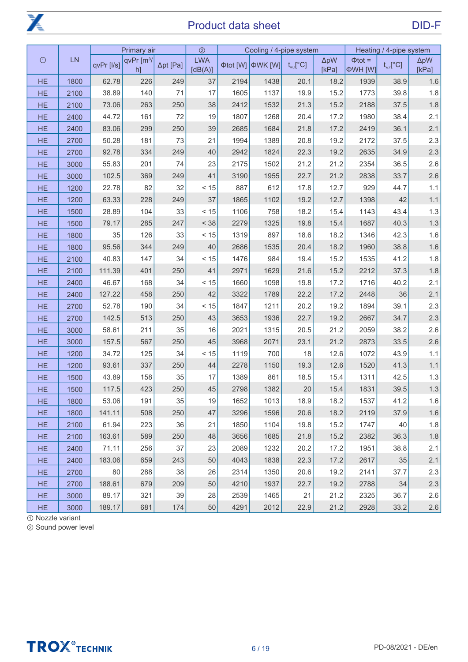

|           |      |            | Primary air                  |                  | $\circledcirc$        |          | Cooling / 4-pipe system |                      |                      |                         | Heating / 4-pipe system |                      |
|-----------|------|------------|------------------------------|------------------|-----------------------|----------|-------------------------|----------------------|----------------------|-------------------------|-------------------------|----------------------|
| $\odot$   | LN   | qvPr [I/s] | qvPr [m <sup>3</sup> /<br>h] | $\Delta pt$ [Pa] | <b>LWA</b><br>[dB(A)] | Φtot [W] | $\Phi$ WK [W]           | $t_{w,r}[^{\circ}C]$ | $\Delta$ pW<br>[KPa] | $\Phi$ tot =<br>ΦWH [W] | $t_{w,r}[^{\circ}C]$    | $\Delta$ pW<br>[kPa] |
| <b>HE</b> | 1800 | 62.78      | 226                          | 249              | 37                    | 2194     | 1438                    | 20.1                 | 18.2                 | 1939                    | 38.9                    | 1.6                  |
| <b>HE</b> | 2100 | 38.89      | 140                          | 71               | 17                    | 1605     | 1137                    | 19.9                 | 15.2                 | 1773                    | 39.8                    | 1.8                  |
| <b>HE</b> | 2100 | 73.06      | 263                          | 250              | 38                    | 2412     | 1532                    | 21.3                 | 15.2                 | 2188                    | 37.5                    | 1.8                  |
| <b>HE</b> | 2400 | 44.72      | 161                          | 72               | 19                    | 1807     | 1268                    | 20.4                 | 17.2                 | 1980                    | 38.4                    | 2.1                  |
| <b>HE</b> | 2400 | 83.06      | 299                          | 250              | 39                    | 2685     | 1684                    | 21.8                 | 17.2                 | 2419                    | 36.1                    | 2.1                  |
| <b>HE</b> | 2700 | 50.28      | 181                          | 73               | 21                    | 1994     | 1389                    | 20.8                 | 19.2                 | 2172                    | 37.5                    | 2.3                  |
| <b>HE</b> | 2700 | 92.78      | 334                          | 249              | 40                    | 2942     | 1824                    | 22.3                 | 19.2                 | 2635                    | 34.9                    | 2.3                  |
| <b>HE</b> | 3000 | 55.83      | 201                          | $74$             | 23                    | 2175     | 1502                    | 21.2                 | 21.2                 | 2354                    | 36.5                    | 2.6                  |
| <b>HE</b> | 3000 | 102.5      | 369                          | 249              | 41                    | 3190     | 1955                    | 22.7                 | 21.2                 | 2838                    | 33.7                    | 2.6                  |
| <b>HE</b> | 1200 | 22.78      | 82                           | 32               | < 15                  | 887      | 612                     | 17.8                 | 12.7                 | 929                     | 44.7                    | 1.1                  |
| <b>HE</b> | 1200 | 63.33      | 228                          | 249              | 37                    | 1865     | 1102                    | 19.2                 | 12.7                 | 1398                    | 42                      | 1.1                  |
| <b>HE</b> | 1500 | 28.89      | 104                          | 33               | < 15                  | 1106     | 758                     | 18.2                 | 15.4                 | 1143                    | 43.4                    | 1.3                  |
| <b>HE</b> | 1500 | 79.17      | 285                          | 247              | < 38                  | 2279     | 1325                    | 19.8                 | 15.4                 | 1687                    | 40.3                    | 1.3                  |
| HE        | 1800 | 35         | 126                          | 33               | < 15                  | 1319     | 897                     | 18.6                 | 18.2                 | 1346                    | 42.3                    | 1.6                  |
| <b>HE</b> | 1800 | 95.56      | 344                          | 249              | 40                    | 2686     | 1535                    | 20.4                 | 18.2                 | 1960                    | 38.8                    | 1.6                  |
| HE        | 2100 | 40.83      | 147                          | 34               | < 15                  | 1476     | 984                     | 19.4                 | 15.2                 | 1535                    | 41.2                    | 1.8                  |
| <b>HE</b> | 2100 | 111.39     | 401                          | 250              | 41                    | 2971     | 1629                    | 21.6                 | 15.2                 | 2212                    | 37.3                    | 1.8                  |
| HE        | 2400 | 46.67      | 168                          | 34               | < 15                  | 1660     | 1098                    | 19.8                 | 17.2                 | 1716                    | 40.2                    | 2.1                  |
| <b>HE</b> | 2400 | 127.22     | 458                          | 250              | 42                    | 3322     | 1789                    | 22.2                 | 17.2                 | 2448                    | 36                      | 2.1                  |
| <b>HE</b> | 2700 | 52.78      | 190                          | 34               | $<15$                 | 1847     | 1211                    | 20.2                 | 19.2                 | 1894                    | 39.1                    | 2.3                  |
| <b>HE</b> | 2700 | 142.5      | 513                          | 250              | 43                    | 3653     | 1936                    | 22.7                 | 19.2                 | 2667                    | 34.7                    | 2.3                  |
| HE        | 3000 | 58.61      | 211                          | $35\,$           | 16                    | 2021     | 1315                    | 20.5                 | 21.2                 | 2059                    | 38.2                    | 2.6                  |
| HE        | 3000 | 157.5      | 567                          | 250              | 45                    | 3968     | 2071                    | 23.1                 | 21.2                 | 2873                    | 33.5                    | 2.6                  |
| <b>HE</b> | 1200 | 34.72      | 125                          | 34               | < 15                  | 1119     | 700                     | 18                   | 12.6                 | 1072                    | 43.9                    | 1.1                  |
| <b>HE</b> | 1200 | 93.61      | 337                          | 250              | 44                    | 2278     | 1150                    | 19.3                 | 12.6                 | 1520                    | 41.3                    | 1.1                  |
| HE        | 1500 | 43.89      | 158                          | 35               | 17                    | 1389     | 861                     | 18.5                 | 15.4                 | 1311                    | 42.5                    | 1.3                  |
| <b>HE</b> | 1500 | 117.5      | 423                          | 250              | 45                    | 2798     | 1382                    | 20                   | 15.4                 | 1831                    | 39.5                    | 1.3                  |
| <b>HE</b> | 1800 | 53.06      | 191                          | 35               | 19                    | 1652     | 1013                    | 18.9                 | 18.2                 | 1537                    | 41.2                    | 1.6                  |
| <b>HE</b> | 1800 | 141.11     | 508                          | 250              | 47                    | 3296     | 1596                    | 20.6                 | 18.2                 | 2119                    | 37.9                    | 1.6                  |
| HE.       | 2100 | 61.94      | 223                          | 36               | 21                    | 1850     | 1104                    | 19.8                 | 15.2                 | 1747                    | 40                      | 1.8                  |
| HE.       | 2100 | 163.61     | 589                          | 250              | 48                    | 3656     | 1685                    | 21.8                 | 15.2                 | 2382                    | 36.3                    | 1.8                  |
| <b>HE</b> | 2400 | 71.11      | 256                          | 37               | 23                    | 2089     | 1232                    | 20.2                 | 17.2                 | 1951                    | 38.8                    | 2.1                  |
| HE.       | 2400 | 183.06     | 659                          | 243              | 50                    | 4043     | 1838                    | 22.3                 | 17.2                 | 2617                    | 35                      | 2.1                  |
| HE.       | 2700 | 80         | 288                          | 38               | 26                    | 2314     | 1350                    | 20.6                 | 19.2                 | 2141                    | 37.7                    | 2.3                  |
| HE.       | 2700 | 188.61     | 679                          | 209              | 50                    | 4210     | 1937                    | 22.7                 | 19.2                 | 2788                    | 34                      | 2.3                  |
| <b>HE</b> | 3000 | 89.17      | 321                          | 39               | 28                    | 2539     | 1465                    | 21                   | 21.2                 | 2325                    | 36.7                    | 2.6                  |
| <b>HE</b> | 3000 | 189.17     | 681                          | 174              | 50                    | 4291     | 2012                    | 22.9                 | 21.2                 | 2928                    | 33.2                    | 2.6                  |

① Nozzle variant

② Sound power level

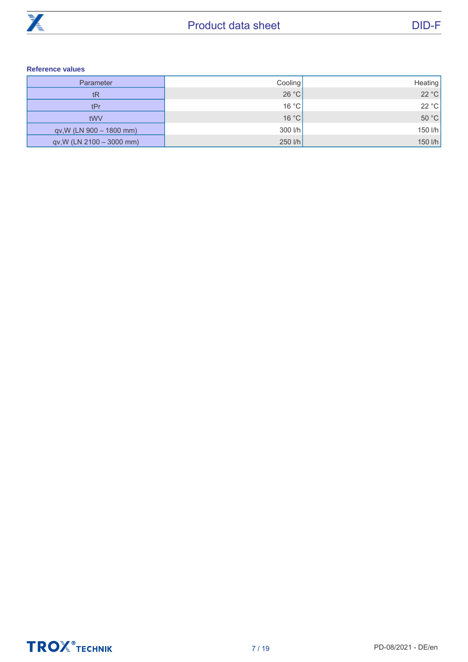

**Reference values**

| Parameter                 | Cooling   | Heating   |
|---------------------------|-----------|-----------|
| tR                        | 26 °C     | 22 °C     |
| tPr                       | 16 °C     | 22 °C     |
| tWV                       | 16 °C     | 50 °C     |
| qv, W (LN 900 - 1800 mm)  | 300 l/h   | 150 $I/h$ |
| qv, W (LN 2100 - 3000 mm) | $250$ I/h | 150 $I/h$ |

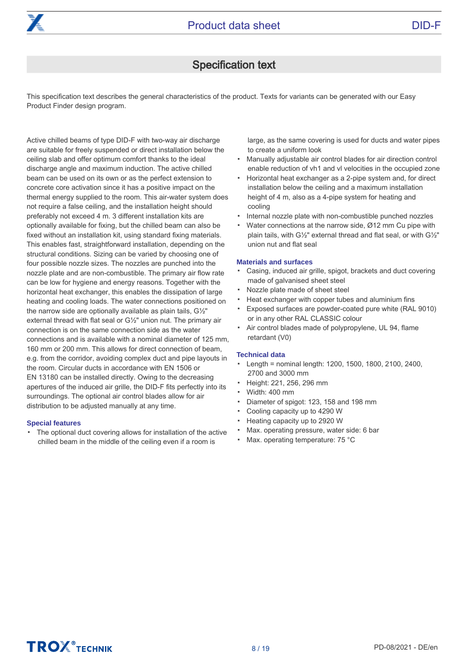

### Specification text

<span id="page-7-0"></span>This specification text describes the general characteristics of the product. Texts for variants can be generated with our Easy Product Finder design program.

Active chilled beams of type DID-F with two-way air discharge are suitable for freely suspended or direct installation below the ceiling slab and offer optimum comfort thanks to the ideal discharge angle and maximum induction. The active chilled beam can be used on its own or as the perfect extension to concrete core activation since it has a positive impact on the thermal energy supplied to the room. This air-water system does not require a false ceiling, and the installation height should preferably not exceed 4 m. 3 different installation kits are optionally available for fixing, but the chilled beam can also be fixed without an installation kit, using standard fixing materials. This enables fast, straightforward installation, depending on the structural conditions. Sizing can be varied by choosing one of four possible nozzle sizes. The nozzles are punched into the nozzle plate and are non-combustible. The primary air flow rate can be low for hygiene and energy reasons. Together with the horizontal heat exchanger, this enables the dissipation of large heating and cooling loads. The water connections positioned on the narrow side are optionally available as plain tails, G½" external thread with flat seal or G½" union nut. The primary air connection is on the same connection side as the water connections and is available with a nominal diameter of 125 mm, 160 mm or 200 mm. This allows for direct connection of beam, e.g. from the corridor, avoiding complex duct and pipe layouts in the room. Circular ducts in accordance with EN 1506 or EN 13180 can be installed directly. Owing to the decreasing apertures of the induced air grille, the DID-F fits perfectly into its surroundings. The optional air control blades allow for air distribution to be adjusted manually at any time.

### **Special features**

▪ The optional duct covering allows for installation of the active chilled beam in the middle of the ceiling even if a room is

large, as the same covering is used for ducts and water pipes to create a uniform look

- Manually adjustable air control blades for air direction control enable reduction of vh1 and vl velocities in the occupied zone
- Horizontal heat exchanger as a 2-pipe system and, for direct installation below the ceiling and a maximum installation height of 4 m, also as a 4-pipe system for heating and cooling
- Internal nozzle plate with non-combustible punched nozzles
- Water connections at the narrow side, Ø12 mm Cu pipe with plain tails, with G½" external thread and flat seal, or with G½" union nut and flat seal

#### **Materials and surfaces**

- Casing, induced air grille, spigot, brackets and duct covering made of galvanised sheet steel
- Nozzle plate made of sheet steel
- Heat exchanger with copper tubes and aluminium fins
- Exposed surfaces are powder-coated pure white (RAL 9010) or in any other RAL CLASSIC colour
- Air control blades made of polypropylene, UL 94, flame retardant (V0)

#### **Technical data**

- Length = nominal length: 1200, 1500, 1800, 2100, 2400, 2700 and 3000 mm
- Height: 221, 256, 296 mm
- Width: 400 mm
- Diameter of spigot: 123, 158 and 198 mm
- Cooling capacity up to 4290 W
- Heating capacity up to 2920 W
- Max. operating pressure, water side: 6 bar
- Max. operating temperature: 75 °C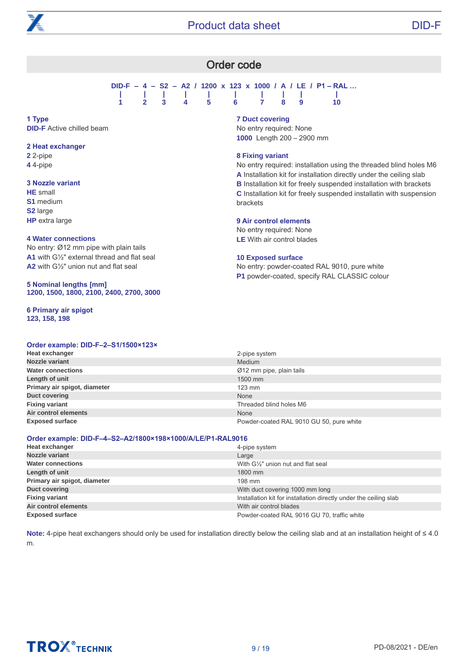<span id="page-8-0"></span>

### Order code

### **DID-F – 4 – S2 – A2 / 1200 x 123 x 1000 / A / LE / P1 – RAL … | | | | | | | | | | 1 2 3 4 5 6 7 8 9 10**

**7 Duct covering** No entry required: None **1000** Length 200 – 2900 mm

**8 Fixing variant**

**9 Air control elements** No entry required: None **LE** With air control blades

**10 Exposed surface**

No entry: powder-coated RAL 9010, pure white **P1** powder-coated, specify RAL CLASSIC colour

brackets

No entry required: installation using the threaded blind holes M6 **A** Installation kit for installation directly under the ceiling slab **B** Installation kit for freely suspended installation with brackets **C** Installation kit for freely suspended installatin with suspension

### **1 Type**

**DID-F** Active chilled beam

#### **2 Heat exchanger**

**2** 2-pipe **4** 4-pipe

### **3 Nozzle variant**

**HE** small **S1** medium **S2** large **HP** extra large

### **4 Water connections**

No entry: Ø12 mm pipe with plain tails **A1** with G½" external thread and flat seal **A2** with G½" union nut and flat seal

### **5 Nominal lengths [mm]**

**1200, 1500, 1800, 2100, 2400, 2700, 3000**

### **6 Primary air spigot**

**123, 158, 198**

#### **Order example: DID-F–2–S1/1500×123×**

| $Ø12$ mm pipe, plain tails               |
|------------------------------------------|
|                                          |
|                                          |
|                                          |
| Threaded blind holes M6                  |
|                                          |
| Powder-coated RAL 9010 GU 50, pure white |
|                                          |

#### **Order example: DID-F–4–S2–A2/1800×198×1000/A/LE/P1-RAL9016**

| Heat exchanger               | 4-pipe system                                                     |
|------------------------------|-------------------------------------------------------------------|
| Nozzle variant               | Large                                                             |
| Water connections            | With G1/ <sub>2</sub> " union nut and flat seal                   |
| Length of unit               | 1800 mm                                                           |
| Primary air spigot, diameter | 198 mm                                                            |
| Duct covering                | With duct covering 1000 mm long                                   |
| Fixing variant               | Installation kit for installation directly under the ceiling slab |
| Air control elements         | With air control blades                                           |
| Exposed surface              | Powder-coated RAL 9016 GU 70, traffic white                       |

Note: 4-pipe heat exchangers should only be used for installation directly below the ceiling slab and at an installation height of ≤ 4.0 m.

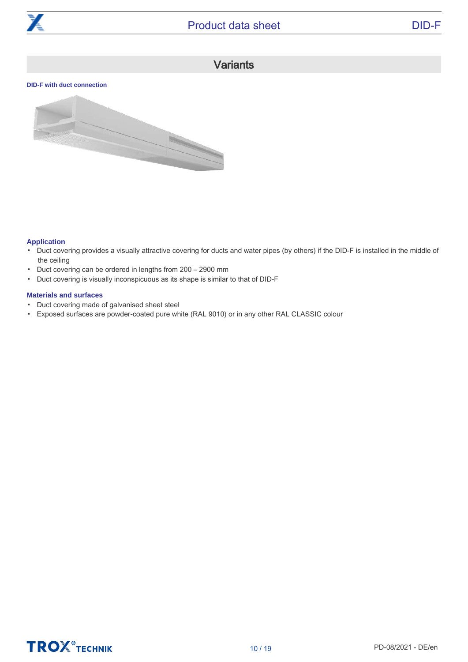

### Variants

#### <span id="page-9-0"></span>**DID-F with duct connection**



### **Application**

- Duct covering provides a visually attractive covering for ducts and water pipes (by others) if the DID-F is installed in the middle of the ceiling
- Duct covering can be ordered in lengths from 200 2900 mm
- Duct covering is visually inconspicuous as its shape is similar to that of DID-F

#### **Materials and surfaces**

- Duct covering made of galvanised sheet steel
- Exposed surfaces are powder-coated pure white (RAL 9010) or in any other RAL CLASSIC colour

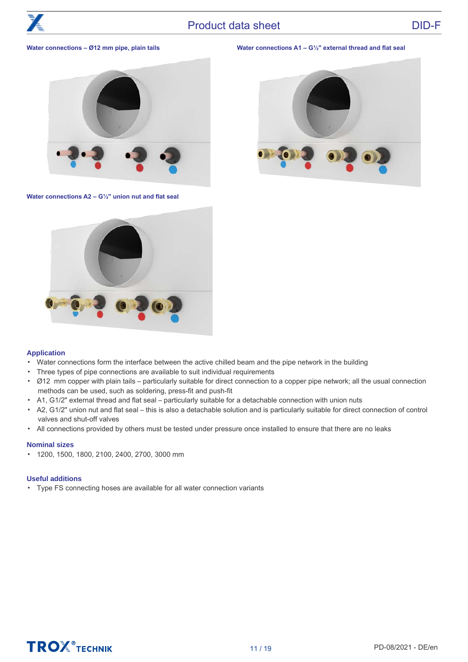



Water connections – Ø12 mm pipe, plain tails **Water connections A1 – G<sup>1</sup>/<sub>2</sub>"** external thread and flat seal



**Water connections A2 – G½" union nut and flat seal**



#### **Application**

- Water connections form the interface between the active chilled beam and the pipe network in the building
- Three types of pipe connections are available to suit individual requirements
- Ø12 mm copper with plain tails particularly suitable for direct connection to a copper pipe network; all the usual connection methods can be used, such as soldering, press-fit and push-fit
- A1, G1/2" external thread and flat seal particularly suitable for a detachable connection with union nuts
- A2, G1/2" union nut and flat seal this is also a detachable solution and is particularly suitable for direct connection of control valves and shut-off valves
- All connections provided by others must be tested under pressure once installed to ensure that there are no leaks

#### **Nominal sizes**

▪ 1200, 1500, 1800, 2100, 2400, 2700, 3000 mm

### **Useful additions**

▪ Type FS connecting hoses are available for all water connection variants

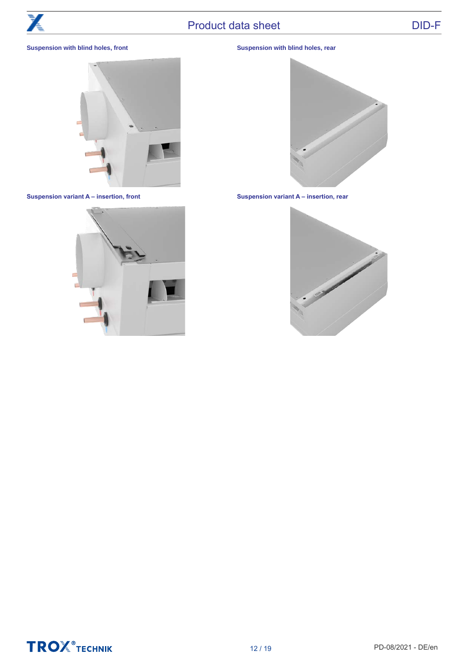### **Suspension with blind holes, front Suspension with blind holes, rear**



**Suspension variant A – insertion, front Suspension variant A – insertion, rear**







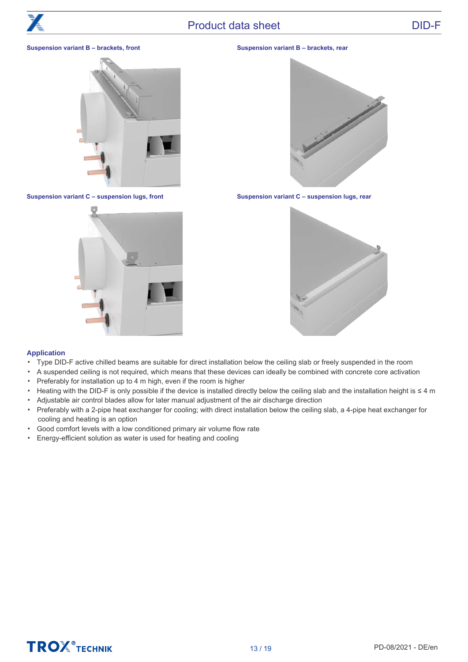#### **Suspension variant B – brackets, front Suspension variant B – brackets, rear**



**Suspension variant C – suspension lugs, front Suspension variant C – suspension lugs, rear**







#### **Application**

- Type DID-F active chilled beams are suitable for direct installation below the ceiling slab or freely suspended in the room
- A suspended ceiling is not required, which means that these devices can ideally be combined with concrete core activation
- Preferably for installation up to 4 m high, even if the room is higher
- Heating with the DID-F is only possible if the device is installed directly below the ceiling slab and the installation height is ≤ 4 m
- Adjustable air control blades allow for later manual adjustment of the air discharge direction
- Preferably with a 2-pipe heat exchanger for cooling; with direct installation below the ceiling slab, a 4-pipe heat exchanger for cooling and heating is an option
- Good comfort levels with a low conditioned primary air volume flow rate
- Energy-efficient solution as water is used for heating and cooling

# **TROX**<sup>®</sup>TECHNIK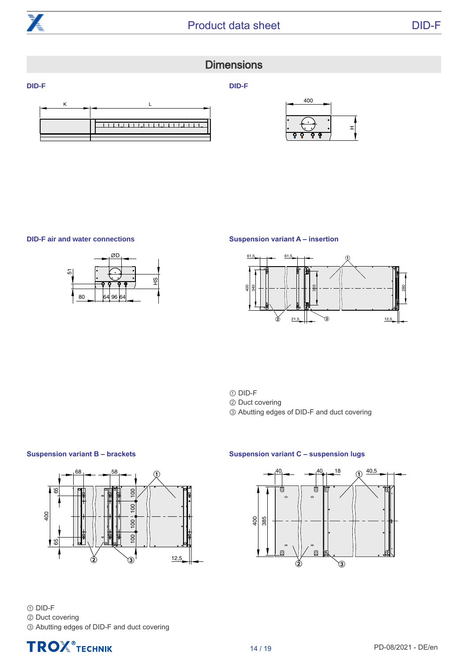

### **Dimensions**

### <span id="page-13-0"></span>**DID-F**

**DID-F**

| 400              |   |
|------------------|---|
| a                |   |
|                  | ᆂ |
| ø<br>c<br>г<br>c |   |

**DID-F air and water connections**



**Suspension variant A – insertion**



- ① DID-F
- ② Duct covering
- ③ Abutting edges of DID-F and duct covering

### **Suspension variant B – brackets**



### ① DID-F

- ② Duct covering
- ③ Abutting edges of DID-F and duct covering

# **TROX** TECHNIK

### **Suspension variant C – suspension lugs**

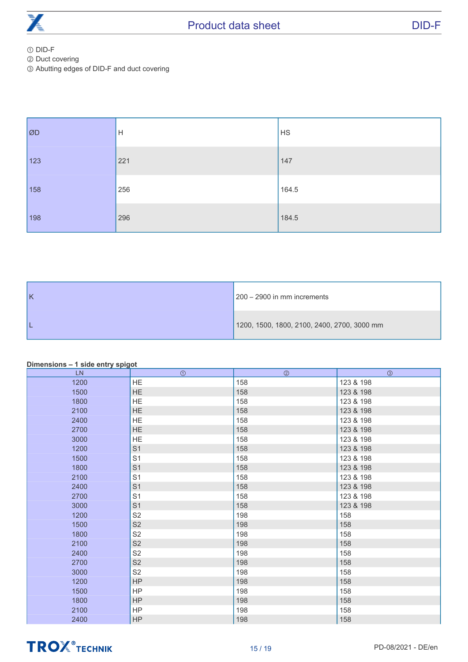

① DID-F

② Duct covering

③ Abutting edges of DID-F and duct covering

| ØD  | H   | HS    |
|-----|-----|-------|
| 123 | 221 | 147   |
| 158 | 256 | 164.5 |
| 198 | 296 | 184.5 |

| K | $\sqrt{200} - 2900$ in mm increments        |
|---|---------------------------------------------|
|   | 1200, 1500, 1800, 2100, 2400, 2700, 3000 mm |

| Dimensions – 1 side entry spigot |                |               |               |  |  |  |
|----------------------------------|----------------|---------------|---------------|--|--|--|
| <b>LN</b>                        | $\odot$        | $\circled{2}$ | $\circled{3}$ |  |  |  |
| 1200                             | <b>HE</b>      | 158           | 123 & 198     |  |  |  |
| 1500                             | <b>HE</b>      | 158           | 123 & 198     |  |  |  |
| 1800                             | HE.            | 158           | 123 & 198     |  |  |  |
| 2100                             | HE.            | 158           | 123 & 198     |  |  |  |
| 2400                             | <b>HE</b>      | 158           | 123 & 198     |  |  |  |
| 2700                             | HE.            | 158           | 123 & 198     |  |  |  |
| 3000                             | HE.            | 158           | 123 & 198     |  |  |  |
| 1200                             | S <sub>1</sub> | 158           | 123 & 198     |  |  |  |
| 1500                             | S <sub>1</sub> | 158           | 123 & 198     |  |  |  |
| 1800                             | S <sub>1</sub> | 158           | 123 & 198     |  |  |  |
| 2100                             | S <sub>1</sub> | 158           | 123 & 198     |  |  |  |
| 2400                             | S <sub>1</sub> | 158           | 123 & 198     |  |  |  |
| 2700                             | S <sub>1</sub> | 158           | 123 & 198     |  |  |  |
| 3000                             | S <sub>1</sub> | 158           | 123 & 198     |  |  |  |
| 1200                             | S <sub>2</sub> | 198           | 158           |  |  |  |
| 1500                             | S <sub>2</sub> | 198           | 158           |  |  |  |
| 1800                             | S <sub>2</sub> | 198           | 158           |  |  |  |
| 2100                             | S <sub>2</sub> | 198           | 158           |  |  |  |
| 2400                             | S <sub>2</sub> | 198           | 158           |  |  |  |
| 2700                             | S <sub>2</sub> | 198           | 158           |  |  |  |
| 3000                             | S <sub>2</sub> | 198           | 158           |  |  |  |
| 1200                             | <b>HP</b>      | 198           | 158           |  |  |  |
| 1500                             | <b>HP</b>      | 198           | 158           |  |  |  |
| 1800                             | <b>HP</b>      | 198           | 158           |  |  |  |
| 2100                             | <b>HP</b>      | 198           | 158           |  |  |  |
| 2400                             | <b>HP</b>      | 198           | 158           |  |  |  |

### **Dimensions – 1 side entry spigot**

# **TROX**<sup>®</sup>TECHNIK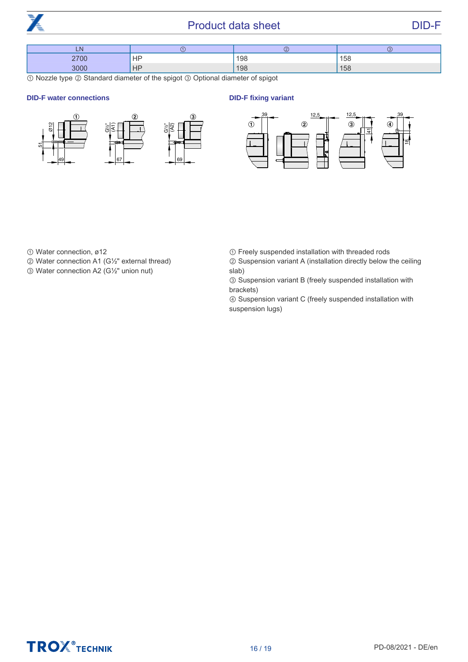

| --   |          |             |     |
|------|----------|-------------|-----|
| 2700 | பெ<br>ΠГ | 198<br>$ -$ | 158 |
| חחז  | பா<br>ПЕ | 198         | 158 |

① Nozzle type ② Standard diameter of the spigot ③ Optional diameter of spigot

### **DID-F water connections**

### **DID-F fixing variant**





- ① Water connection, ø12
- ② Water connection A1 (G½" external thread)
- ③ Water connection A2 (G½" union nut)

① Freely suspended installation with threaded rods

② Suspension variant A (installation directly below the ceiling slab)

③ Suspension variant B (freely suspended installation with brackets)

④ Suspension variant C (freely suspended installation with suspension lugs)

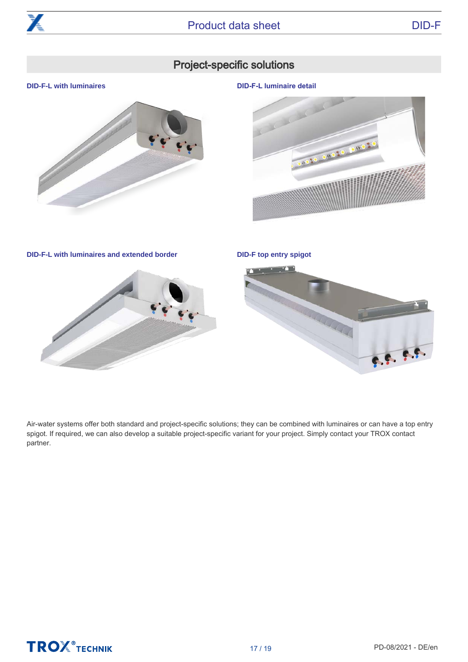

## Project-specific solutions

### <span id="page-16-0"></span>**DID-F-L with luminaires DID-F-L luminaire detail**





### **DID-F-L with luminaires and extended border DID-F top entry spigot**





Air-water systems offer both standard and project-specific solutions; they can be combined with luminaires or can have a top entry spigot. If required, we can also develop a suitable project-specific variant for your project. Simply contact your TROX contact partner.

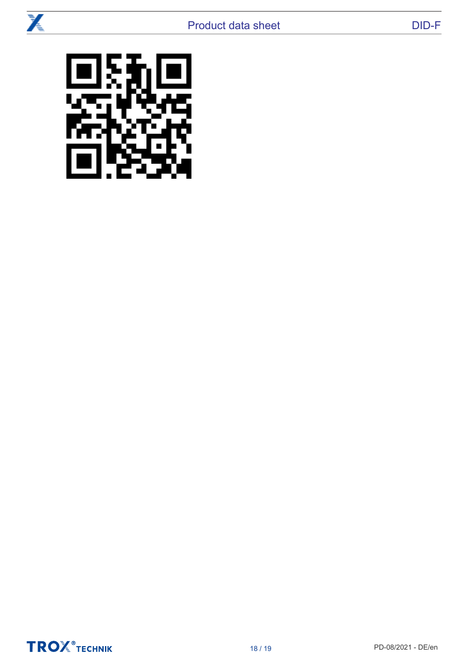

X